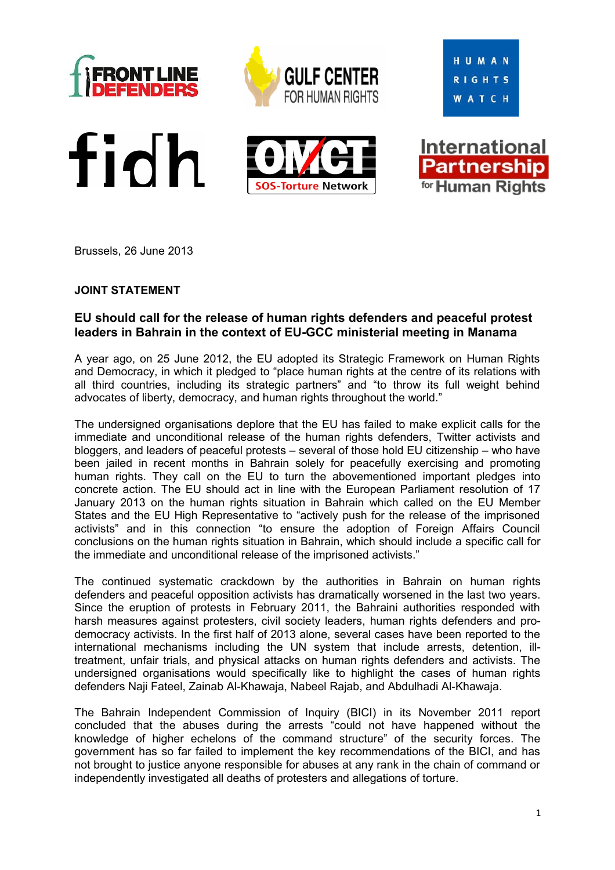











Brussels, 26 June 2013

## **JOINT STATEMENT**

## **EU should call for the release of human rights defenders and peaceful protest leaders in Bahrain in the context of EU-GCC ministerial meeting in Manama**

A year ago, on 25 June 2012, the EU adopted its Strategic Framework on Human Rights and Democracy, in which it pledged to "place human rights at the centre of its relations with all third countries, including its strategic partners" and "to throw its full weight behind advocates of liberty, democracy, and human rights throughout the world."

The undersigned organisations deplore that the EU has failed to make explicit calls for the immediate and unconditional release of the human rights defenders, Twitter activists and bloggers, and leaders of peaceful protests – several of those hold EU citizenship – who have been jailed in recent months in Bahrain solely for peacefully exercising and promoting human rights. They call on the EU to turn the abovementioned important pledges into concrete action. The EU should act in line with the European Parliament resolution of 17 January 2013 on the human rights situation in Bahrain which called on the EU Member States and the EU High Representative to "actively push for the release of the imprisoned activists" and in this connection "to ensure the adoption of Foreign Affairs Council conclusions on the human rights situation in Bahrain, which should include a specific call for the immediate and unconditional release of the imprisoned activists."

The continued systematic crackdown by the authorities in Bahrain on human rights defenders and peaceful opposition activists has dramatically worsened in the last two years. Since the eruption of protests in February 2011, the Bahraini authorities responded with harsh measures against protesters, civil society leaders, human rights defenders and prodemocracy activists. In the first half of 2013 alone, several cases have been reported to the international mechanisms including the UN system that include arrests, detention, illtreatment, unfair trials, and physical attacks on human rights defenders and activists. The undersigned organisations would specifically like to highlight the cases of human rights defenders Naji Fateel, Zainab Al-Khawaja, Nabeel Rajab, and Abdulhadi Al-Khawaja.

The Bahrain Independent Commission of Inquiry (BICI) in its November 2011 report concluded that the abuses during the arrests "could not have happened without the knowledge of higher echelons of the command structure" of the security forces. The government has so far failed to implement the key recommendations of the BICI, and has not brought to justice anyone responsible for abuses at any rank in the chain of command or independently investigated all deaths of protesters and allegations of torture.